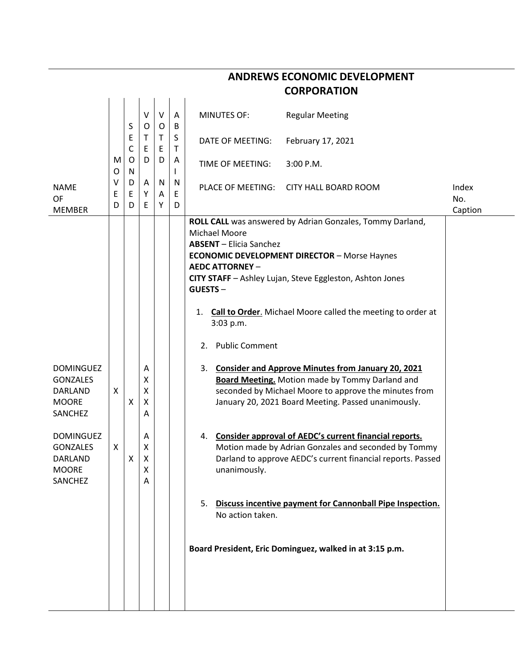|                                                                           |        |                      |                       |             |                  | <b>CORPORATION</b>                                                                                                                                                                                                                                                                                                                                                   |              |
|---------------------------------------------------------------------------|--------|----------------------|-----------------------|-------------|------------------|----------------------------------------------------------------------------------------------------------------------------------------------------------------------------------------------------------------------------------------------------------------------------------------------------------------------------------------------------------------------|--------------|
|                                                                           |        | S                    | $\vee$<br>O           | $\vee$<br>O | A<br>B           | <b>MINUTES OF:</b><br><b>Regular Meeting</b>                                                                                                                                                                                                                                                                                                                         |              |
|                                                                           |        | E<br>C               | Τ<br>E                | Τ<br>Ε      | S<br>$\mathsf T$ | February 17, 2021<br>DATE OF MEETING:                                                                                                                                                                                                                                                                                                                                |              |
|                                                                           | M<br>O | $\circ$<br>${\sf N}$ | D                     | D           | A<br>I           | TIME OF MEETING:<br>$3:00$ P.M.                                                                                                                                                                                                                                                                                                                                      |              |
| <b>NAME</b><br><b>OF</b>                                                  | ۷<br>Ε | D<br>E               | A<br>Υ                | N<br>A      | N<br>Ε           | PLACE OF MEETING:<br><b>CITY HALL BOARD ROOM</b>                                                                                                                                                                                                                                                                                                                     | Index<br>No. |
| <b>MEMBER</b>                                                             | D      | D                    | E                     | Υ           | D                |                                                                                                                                                                                                                                                                                                                                                                      | Caption      |
|                                                                           |        |                      |                       |             |                  | ROLL CALL was answered by Adrian Gonzales, Tommy Darland,<br><b>Michael Moore</b><br><b>ABSENT</b> - Elicia Sanchez<br><b>ECONOMIC DEVELOPMENT DIRECTOR - Morse Haynes</b><br><b>AEDC ATTORNEY -</b><br>CITY STAFF - Ashley Lujan, Steve Eggleston, Ashton Jones<br>GUESTS-<br><b>Call to Order.</b> Michael Moore called the meeting to order at<br>1.<br>3:03 p.m. |              |
|                                                                           |        |                      |                       |             |                  | <b>Public Comment</b><br>2.                                                                                                                                                                                                                                                                                                                                          |              |
| <b>DOMINGUEZ</b><br><b>GONZALES</b><br>DARLAND<br><b>MOORE</b><br>SANCHEZ | X      | X                    | Α<br>X<br>X<br>X<br>Α |             |                  | <b>Consider and Approve Minutes from January 20, 2021</b><br>3.<br><b>Board Meeting.</b> Motion made by Tommy Darland and<br>seconded by Michael Moore to approve the minutes from<br>January 20, 2021 Board Meeting. Passed unanimously.                                                                                                                            |              |
| <b>DOMINGUEZ</b><br><b>GONZALES</b><br>DARLAND<br><b>MOORE</b><br>SANCHEZ | X      | X                    | Α<br>Χ<br>X<br>X<br>A |             |                  | Consider approval of AEDC's current financial reports.<br>4.<br>Motion made by Adrian Gonzales and seconded by Tommy<br>Darland to approve AEDC's current financial reports. Passed<br>unanimously.                                                                                                                                                                  |              |
|                                                                           |        |                      |                       |             |                  | Discuss incentive payment for Cannonball Pipe Inspection.<br>5.<br>No action taken.                                                                                                                                                                                                                                                                                  |              |
|                                                                           |        |                      |                       |             |                  | Board President, Eric Dominguez, walked in at 3:15 p.m.                                                                                                                                                                                                                                                                                                              |              |
|                                                                           |        |                      |                       |             |                  |                                                                                                                                                                                                                                                                                                                                                                      |              |

**ANDREWS ECONOMIC DEVELOPMENT**